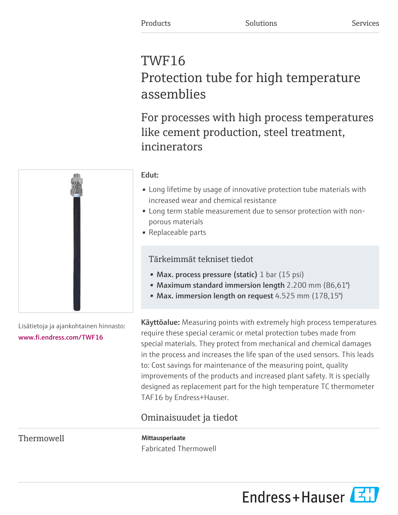# TWF16 Protection tube for high temperature assemblies

For processes with high process temperatures like cement production, steel treatment, incinerators

## Edut:

- Long lifetime by usage of innovative protection tube materials with increased wear and chemical resistance
- Long term stable measurement due to sensor protection with nonporous materials
- Replaceable parts

## Tärkeimmät tekniset tiedot

- Max. process pressure (static) 1 bar (15 psi)
- Maximum standard immersion length 2.200 mm (86,61")
- Max. immersion length on request 4.525 mm (178,15")

Käyttöalue: Measuring points with extremely high process temperatures require these special ceramic or metal protection tubes made from special materials. They protect from mechanical and chemical damages in the process and increases the life span of the used sensors. This leads to: Cost savings for maintenance of the measuring point, quality improvements of the products and increased plant safety. It is specially designed as replacement part for the high temperature TC thermometer TAF16 by Endress+Hauser.

## Ominaisuudet ja tiedot

Thermowell Mittausperiaate

Fabricated Thermowell





Lisätietoja ja ajankohtainen hinnasto: [www.fi.endress.com/TWF16](https://www.fi.endress.com/TWF16)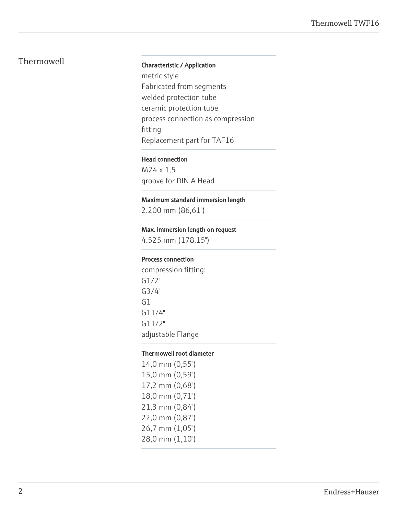## Thermowell **Thermowell** Characteristic / Application

metric style Fabricated from segments welded protection tube ceramic protection tube process connection as compression fitting Replacement part for TAF16

#### Head connection

M24 x 1,5 groove for DIN A Head

#### Maximum standard immersion length

2.200 mm (86,61")

#### Max. immersion length on request

4.525 mm (178,15")

#### Process connection

compression fitting: G1/2" G3/4"  $G1"$ G11/4" G11/2" adjustable Flange

#### Thermowell root diameter

14,0 mm (0,55") 15,0 mm (0,59") 17,2 mm (0,68") 18,0 mm (0,71") 21,3 mm (0,84") 22,0 mm (0,87") 26,7 mm (1,05") 28,0 mm (1,10")